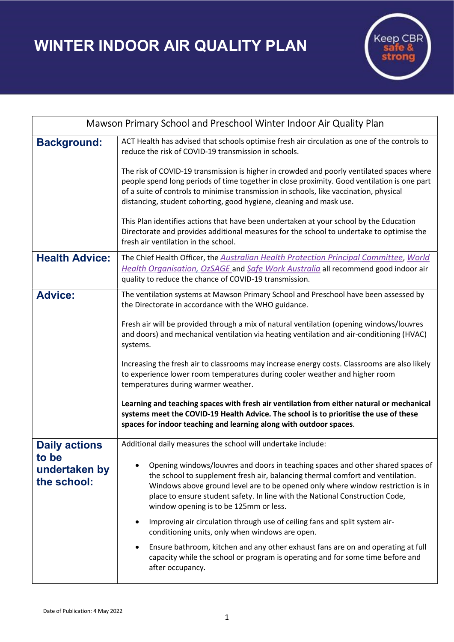WINTER INDOOR AIR QUALITY PLAN



| Mawson Primary School and Preschool Winter Indoor Air Quality Plan |                                                                                                                                                                                                                                                                                                                                                                                |
|--------------------------------------------------------------------|--------------------------------------------------------------------------------------------------------------------------------------------------------------------------------------------------------------------------------------------------------------------------------------------------------------------------------------------------------------------------------|
| <b>Background:</b>                                                 | ACT Health has advised that schools optimise fresh air circulation as one of the controls to<br>reduce the risk of COVID-19 transmission in schools.                                                                                                                                                                                                                           |
|                                                                    | The risk of COVID-19 transmission is higher in crowded and poorly ventilated spaces where<br>people spend long periods of time together in close proximity. Good ventilation is one part<br>of a suite of controls to minimise transmission in schools, like vaccination, physical<br>distancing, student cohorting, good hygiene, cleaning and mask use.                      |
|                                                                    | This Plan identifies actions that have been undertaken at your school by the Education<br>Directorate and provides additional measures for the school to undertake to optimise the<br>fresh air ventilation in the school.                                                                                                                                                     |
| <b>Health Advice:</b>                                              | The Chief Health Officer, the Australian Health Protection Principal Committee, World<br>Health Organisation, OzSAGE and Safe Work Australia all recommend good indoor air<br>quality to reduce the chance of COVID-19 transmission.                                                                                                                                           |
| <b>Advice:</b>                                                     | The ventilation systems at Mawson Primary School and Preschool have been assessed by<br>the Directorate in accordance with the WHO guidance.                                                                                                                                                                                                                                   |
|                                                                    | Fresh air will be provided through a mix of natural ventilation (opening windows/louvres<br>and doors) and mechanical ventilation via heating ventilation and air-conditioning (HVAC)<br>systems.                                                                                                                                                                              |
|                                                                    | Increasing the fresh air to classrooms may increase energy costs. Classrooms are also likely<br>to experience lower room temperatures during cooler weather and higher room<br>temperatures during warmer weather.                                                                                                                                                             |
|                                                                    | Learning and teaching spaces with fresh air ventilation from either natural or mechanical<br>systems meet the COVID-19 Health Advice. The school is to prioritise the use of these<br>spaces for indoor teaching and learning along with outdoor spaces.                                                                                                                       |
| <b>Daily actions</b><br>to be<br>undertaken by<br>the school:      | Additional daily measures the school will undertake include:                                                                                                                                                                                                                                                                                                                   |
|                                                                    | Opening windows/louvres and doors in teaching spaces and other shared spaces of<br>the school to supplement fresh air, balancing thermal comfort and ventilation.<br>Windows above ground level are to be opened only where window restriction is in<br>place to ensure student safety. In line with the National Construction Code,<br>window opening is to be 125mm or less. |
|                                                                    | Improving air circulation through use of ceiling fans and split system air-<br>conditioning units, only when windows are open.                                                                                                                                                                                                                                                 |
|                                                                    | Ensure bathroom, kitchen and any other exhaust fans are on and operating at full<br>$\bullet$<br>capacity while the school or program is operating and for some time before and<br>after occupancy.                                                                                                                                                                            |